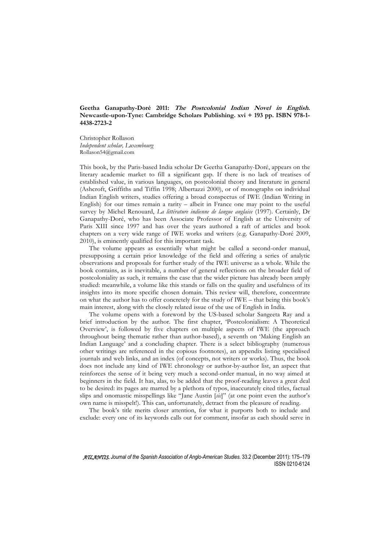# **Geetha Ganapathy-Doré 2011: The Postcolonial Indian Novel in English. Newcastle-upon-Tyne: Cambridge Scholars Publishing. xvi + 193 pp. ISBN 978-1- 4438-2723-2**

Christopher Rollason *Independent scholar, Luxembourg*  Rollason54@gmail.com

This book, by the Paris-based India scholar Dr Geetha Ganapathy-Doré, appears on the literary academic market to fill a significant gap. If there is no lack of treatises of established value, in various languages, on postcolonial theory and literature in general (Ashcroft, Griffiths and Tiffin 1998; Albertazzi 2000), or of monographs on individual Indian English writers, studies offering a broad conspectus of IWE (Indian Writing in English) for our times remain a rarity – albeit in France one may point to the useful survey by Michel Renouard, *La littérature indienne de langue anglaise* (1997). Certainly, Dr Ganapathy-Doré, who has been Associate Professor of English at the University of Paris XIII since 1997 and has over the years authored a raft of articles and book chapters on a very wide range of IWE works and writers (e.g. Ganapathy-Doré 2009, 2010), is eminently qualified for this important task.

The volume appears as essentially what might be called a second-order manual, presupposing a certain prior knowledge of the field and offering a series of analytic observations and proposals for further study of the IWE universe as a whole. While the book contains, as is inevitable, a number of general reflections on the broader field of postcoloniality as such, it remains the case that the wider picture has already been amply studied: meanwhile, a volume like this stands or falls on the quality and usefulness of its insights into its more specific chosen domain. This review will, therefore, concentrate on what the author has to offer concretely for the study of IWE – that being this book's main interest, along with the closely related issue of the use of English in India.

The volume opens with a foreword by the US-based scholar Sangeeta Ray and a brief introduction by the author. The first chapter, 'Postcolonialism: A Theoretical Overview', is followed by five chapters on multiple aspects of IWE (the approach throughout being thematic rather than author-based), a seventh on 'Making English an Indian Language' and a concluding chapter. There is a select bibliography (numerous other writings are referenced in the copious footnotes), an appendix listing specialised journals and web links, and an index (of concepts, not writers or works). Thus, the book does not include any kind of IWE chronology or author-by-author list, an aspect that reinforces the sense of it being very much a second-order manual, in no way aimed at beginners in the field. It has, alas, to be added that the proof-reading leaves a great deal to be desired: its pages are marred by a plethora of typos, inaccurately cited titles, factual slips and onomastic misspellings like "Jane Austin [*sic*]" (at one point even the author's own name is misspelt!). This can, unfortunately, detract from the pleasure of reading.

The book's title merits closer attention, for what it purports both to include and exclude: every one of its keywords calls out for comment, insofar as each should serve in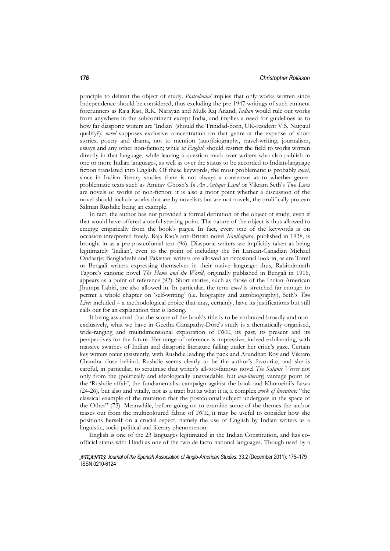principle to delimit the object of study. *Postcolonial* implies that only works written since Independence should be considered, thus excluding the pre-1947 writings of such eminent forerunners as Raja Rao, R.K. Narayan and Mulk Raj Anand; *Indian* would rule out works from anywhere in the subcontinent except India, and implies a need for guidelines as to how far diasporic writers are 'Indian' (should the Trinidad-born, UK-resident V.S. Naipaul qualify?); *novel* supposes exclusive concentration on that genre at the expense of short stories, poetry and drama, not to mention (auto)biography, travel-writing, journalism, essays and any other non-fiction; while *in English* should restrict the field to works written directly in that language, while leaving a question mark over writers who also publish in one or more Indian languages, as well as over the status to be accorded to Indian-language fiction translated into English. Of these keywords, the most problematic is probably *novel*, since in Indian literary studies there is not always a consensus as to whether genreproblematic texts such as Amitav Ghosh's *In An Antique Land* or Vikram Seth's *Two Lives* are novels or works of non-fiction: it is also a moot point whether a discussion of the novel should include works that are by novelists but are not novels, the prolifically protean Salman Rushdie being an example.

In fact, the author has not provided a formal definition of the object of study, even if that would have offered a useful starting-point. The nature of the object is thus allowed to emerge empirically from the book's pages. In fact, every one of the keywords is on occasion interpreted freely. Raja Rao's anti-British novel *Kanthapura*, published in 1938, is brought in as a pre-postcolonial text (96). Diasporic writers are implicitly taken as being legitimately 'Indian', even to the point of including the Sri Lankan-Canadian Michael Ondaatje; Bangladeshi and Pakistani writers are allowed an occasional look-in, as are Tamil or Bengali writers expressing themselves in their native language: thus, Rabindranath Tagore's canonic novel *The Home and the World*, originally published in Bengali in 1916, appears as a point of reference (92). Short stories, such as those of the Indian-American Jhumpa Lahiri, are also allowed in. In particular, the term *novel* is stretched far enough to permit a whole chapter on 'self-writing' (i.e. biography and autobiography), Seth's *Two Lives* included – a methodological choice that may, certainly, have its justifications but still calls out for an explanation that is lacking.

It being assumed that the scope of the book's title is to be embraced broadly and nonexclusively, what we have in Geetha Ganapathy-Doré's study is a thematically organised, wide-ranging and multidimensional exploration of IWE, its past, its present and its perspectives for the future. Her range of reference is impressive, indeed exhilarating, with massive swathes of Indian and diasporic literature falling under her critic's gaze. Certain key writers recur insistently, with Rushdie leading the pack and Arundhati Roy and Vikram Chandra close behind. Rushdie seems clearly to be the author's favourite, and she is careful, in particular, to scrutinise that writer's all-too-famous novel *The Satanic Verses* not only from the (politically and ideologically unavoidable, but *non-literary*) vantage point of the 'Rushdie affair', the fundamentalist campaign against the book and Khomeini's fatwa (24-26), but also and vitally, not as a tract but as what it is, a complex *work of literature:* "the classical example of the mutation that the postcolonial subject undergoes in the space of the Other" (73). Meanwhile, before going on to examine some of the themes the author teases out from the multicoloured fabric of IWE, it may be useful to consider how she positions herself on a crucial aspect, namely the use of English by Indian writers as a linguistic, socio-political and literary phenomenon.

English is one of the 23 languages legitimated in the Indian Constitution, and has coofficial status with Hindi as one of the two de facto national languages. Though used by a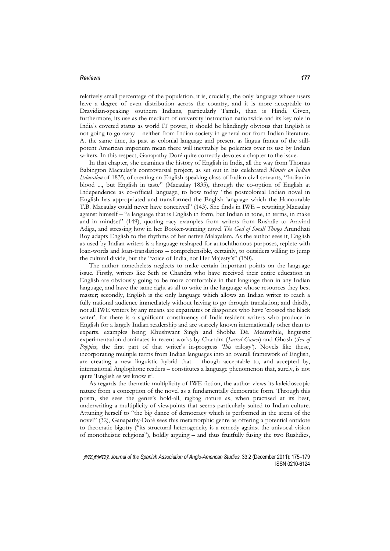### *Reviews 177*

relatively small percentage of the population, it is, crucially, the only language whose users have a degree of even distribution across the country, and it is more acceptable to Dravidian-speaking southern Indians, particularly Tamils, than is Hindi. Given, furthermore, its use as the medium of university instruction nationwide and its key role in India's coveted status as world IT power, it should be blindingly obvious that English is not going to go away – neither from Indian society in general nor from Indian literature. At the same time, its past as colonial language and present as lingua franca of the stillpotent American imperium mean there will inevitably be polemics over its use by Indian writers. In this respect, Ganapathy-Doré quite correctly devotes a chapter to the issue.

In that chapter, she examines the history of English in India, all the way from Thomas Babington Macaulay's controversial project, as set out in his celebrated *Minute on Indian Education* of 1835, of creating an English-speaking class of Indian civil servants, "Indian in blood ..., but English in taste" (Macaulay 1835), through the co-option of English at Independence as co-official language, to how today "the postcolonial Indian novel in English has appropriated and transformed the English language which the Honourable T.B. Macaulay could never have conceived" (143). She finds in IWE – rewriting Macaulay against himself – "a language that is English in form, but Indian in tone, in terms, in make and in mindset" (149), quoting racy examples from writers from Rushdie to Aravind Adiga, and stressing how in her Booker-winning novel *The God of Small Things* Arundhati Roy adapts English to the rhythms of her native Malayalam. As the author sees it, English as used by Indian writers is a language reshaped for autochthonous purposes, replete with loan-words and loan-translations – comprehensible, certainly, to outsiders willing to jump the cultural divide, but the "voice of India, not Her Majesty's" (150).

The author nonetheless neglects to make certain important points on the language issue. Firstly, writers like Seth or Chandra who have received their entire education in English are obviously going to be more comfortable in that language than in any Indian language, and have the same right as all to write in the language whose resources they best master; secondly, English is the only language which allows an Indian writer to reach a fully national audience immediately without having to go through translation; and thirdly, not all IWE writers by any means are expatriates or diasporics who have 'crossed the black water', for there is a significant constituency of India-resident writers who produce in English for a largely Indian readership and are scarcely known internationally other than to experts, examples being Khushwant Singh and Shobha Dé. Meanwhile, linguistic experimentation dominates in recent works by Chandra (*Sacred Games*) and Ghosh (*Sea of Poppies*, the first part of that writer's in-progress '*Ibis* trilogy'). Novels like these, incorporating multiple terms from Indian languages into an overall framework of English, are creating a new linguistic hybrid that – though acceptable to, and accepted by, international Anglophone readers – constitutes a language phenomenon that, surely, is not quite 'English as we know it'.

As regards the thematic multiplicity of IWE fiction, the author views its kaleidoscopic nature from a conception of the novel as a fundamentally democratic form. Through this prism, she sees the genre's hold-all, ragbag nature as, when practised at its best, underwriting a multiplicity of viewpoints that seems particularly suited to Indian culture. Attuning herself to "the big dance of democracy which is performed in the arena of the novel" (32), Ganapathy-Doré sees this metamorphic genre as offering a potential antidote to theocratic bigotry ("its structural heterogeneity is a remedy against the univocal vision of monotheistic religions"), boldly arguing – and thus fruitfully fusing the two Rushdies,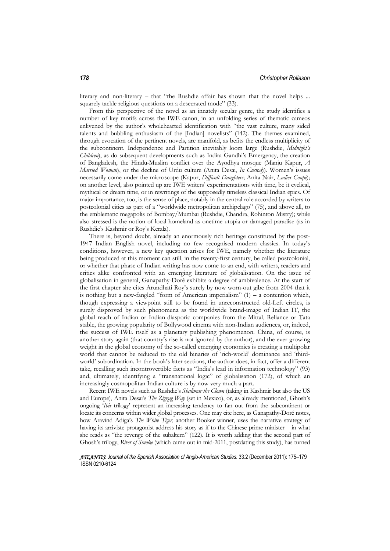literary and non-literary – that "the Rushdie affair has shown that the novel helps ... squarely tackle religious questions on a desecrated mode" (33).

From this perspective of the novel as an innately secular genre, the study identifies a number of key motifs across the IWE canon, in an unfolding series of thematic cameos enlivened by the author's wholehearted identification with "the vast culture, many sided talents and bubbling enthusiasm of the [Indian] novelists" (142). The themes examined, through evocation of the pertinent novels, are manifold, as befits the endless multiplicity of the subcontinent. Independence and Partition inevitably loom large (Rushdie, *Midnight's Children*), as do subsequent developments such as Indira Gandhi's Emergency, the creation of Bangladesh, the Hindu-Muslim conflict over the Ayodhya mosque (Manju Kapur, *A Married Woman*), or the decline of Urdu culture (Anita Desai, *In Custody*). Women's issues necessarily come under the microscope (Kapur, *Difficult Daughters*; Anita Nair, *Ladies Coupé*); on another level, also pointed up are IWE writers' experimentations with time, be it cyclical, mythical or dream time, or in rewritings of the supposedly timeless classical Indian epics. Of major importance, too, is the sense of place, notably in the central role accorded by writers to postcolonial cities as part of a "worldwide metropolitan archipelago" (75), and above all, to the emblematic megapolis of Bombay/Mumbai (Rushdie, Chandra, Rohinton Mistry); while also stressed is the notion of local homeland as onetime utopia or damaged paradise (as in Rushdie's Kashmir or Roy's Kerala).

There is, beyond doubt, already an enormously rich heritage constituted by the post-1947 Indian English novel, including no few recognised modern classics. In today's conditions, however, a new key question arises for IWE, namely whether the literature being produced at this moment can still, in the twenty-first century, be called postcolonial, or whether that phase of Indian writing has now come to an end, with writers, readers and critics alike confronted with an emerging literature of globalisation. On the issue of globalisation in general, Ganapathy-Doré exhibits a degree of ambivalence. At the start of the first chapter she cites Arundhati Roy's surely by now worn-out gibe from 2004 that it is nothing but a new-fangled "form of American imperialism"  $(1)$  – a contention which, though expressing a viewpoint still to be found in unreconstructed old-Left circles, is surely disproved by such phenomena as the worldwide brand-image of Indian IT, the global reach of Indian or Indian-diasporic companies from the Mittal, Reliance or Tata stable, the growing popularity of Bollywood cinema with non-Indian audiences, or, indeed, the success of IWE itself as a planetary publishing phenomenon. China, of course, is another story again (that country's rise is not ignored by the author), and the ever-growing weight in the global economy of the so-called emerging economies is creating a multipolar world that cannot be reduced to the old binaries of 'rich-world' dominance and 'thirdworld' subordination. In the book's later sections, the author does, in fact, offer a different take, recalling such incontrovertible facts as "India's lead in information technology" (93) and, ultimately, identifying a "transnational logic" of globalisation (172), of which an increasingly cosmopolitan Indian culture is by now very much a part.

Recent IWE novels such as Rushdie's *Shalimar the Clown* (taking in Kashmir but also the US and Europe), Anita Desai's *The Zigzag Way* (set in Mexico), or, as already mentioned, Ghosh's ongoing '*Ibis* trilogy' represent an increasing tendency to fan out from the subcontinent or locate its concerns within wider global processes. One may cite here, as Ganapathy-Doré notes, how Aravind Adiga's *The White Tiger*, another Booker winner, uses the narrative strategy of having its arriviste protagonist address his story as if to the Chinese prime minister – in what she reads as "the revenge of the subaltern" (122). It is worth adding that the second part of Ghosh's trilogy, *River of Smoke* (which came out in mid-2011, postdating this study), has turned